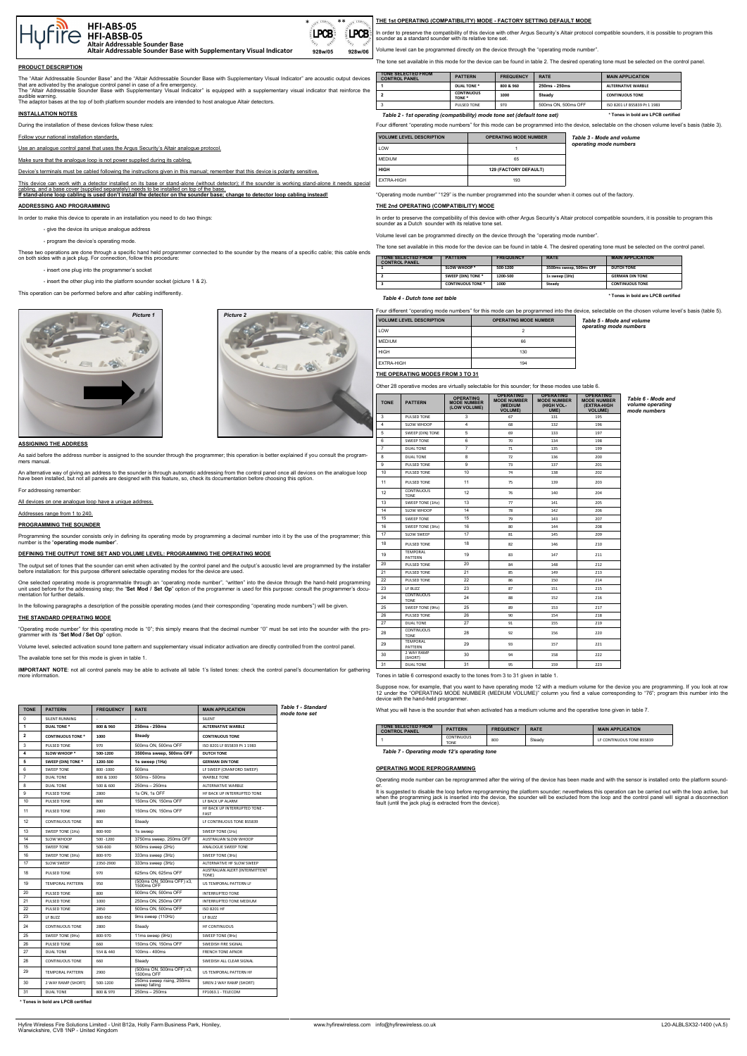#### **PRODUCT DESCRIPTION**

The "Altair Addressable Sounder Base" and the "Altair Addressable Sounder Base with Supplementary Visual Indicator" are acoustic output devices<br>that are activated by the analogue control panel in case of a fire emergency.<br> audible warning.

The adaptor bases at the top of both platform sounder models are intended to host analogue Altair detectors.

## **INSTALLATION NOTES**

During the installation of these devices follow these rules:

#### Follow your national installation standards.

Use an analogue control panel that uses the Argus Security's Altair analogue protoc

Make sure that the analogue loop is not power supplied during its cabling.

Device's terminals must be cabled following the instructions given in this manual; remember that this device is polarity sensitive.

can work with a detector installed on its base or stand-alone (without detector); if the sounder is working stand-alone it needs special g, and a base cover (supplied separately) needs to be installed on top of

As said before the address number is assigned to the sounder through the programmer; this operation is better explained if you consult the programmers manual

An alternative way of giving an address to the sounder is through automatic addressing from the control panel once all devices on the analogue loop<br>have been installed, but not all panels are designed with this feature, so

**If stand-alone loop cabling is used don't install the detector on the sounder base; change to detector loop cabling instead!**

Programming the sounder consists only in defining its operating mode by programming a decimal number into it by the use of the programmer; this number is the "operating mode number

## **ADDRESSING AND PROGRAMMING**

In order to make this device to operate in an installation you need to do two things:

- give the device its unique analogue address

- program the device's operating mode.

These two operations are done through a specific hand held programmer connected to the sounder by the means of a specific cable; this cable ends on both sides with a jack plug. For connection, follow this procedure:

One selected operating mode is programmable through an "operating mode number", "written" into the device through the hand-held programming<br>unit used before for the addressing step; the "**Set Mod / Set Op**" option of the p mentation for further details.

- insert one plug into the programmer's socket

- insert the other plug into the platform sounder socket (picture 1 & 2).

This operation can be performed before and after cabling indifferently.

## **ASSIGNING THE ADDRESS**

For addressing remember:

All devices on one analogue loop have a unique address.

## Addresses range from 1 to 240.

**PROGRAMMING THE SOUNDER**

#### **DEFINING THE OUTPUT TONE SET AND VOLUME LEVEL: PROGRAMMING THE OPERATING MODE**

The output set of tones that the sounder can emit when activated by the control panel and the output's acoustic level are programmed by the installer before installation: for this purpose different selectable operating modes for the device are used.

In the following paragraphs a description of the possible operating modes (and their corresponding "operating mode numbers") will be given.

## **THE STANDARD OPERATING MODE**

"Operating mode number" for this operating mode is "0"; this simply means that the decimal number "0" must be set into the sounder with the pro-grammer with its "**Set Mod / Set Op**" option.

Volume level, selected activation sound tone pattern and supplementary visual indicator activation are directly controlled from the control panel.

The available tone set for this mode is given in table 1.

**IMPORTANT NOTE**: not all control panels may be able to activate all table 1's listed tones: check the control panel's documentation for gathering more information.

#### **THE 1st OPERATING (COMPATIBILITY) MODE - FACTORY SETTING DEFAULT MODE**

In order to preserve the compatibility of this device with other Argus Security's Altair protocol compatible sounders, it is possible to program this sounder as a standard sounder with its relative tone set.

Volume level can be programmed directly on the device through the "operating mode number".

The tone set available in this mode for the device can be found in table 2. The desired operating tone must be selected on the control panel.

Four different "operating mode numbers" for this mode can be programmed into the device, selectable on the chosen volume level's basis (table 3).

"Operating mode number" "129" is the number programmed into the sounder when it comes out of the factory.

### **THE 2nd OPERATING (COMPATIBILITY) MODE**

In order to preserve the compatibility of this device with other Argus Security's Altair protocol compatible sounders, it is possible to program this sounder as a Dutch sounder with its relative tone set.

Volume level can be programmed directly on the device through the "operating mode number".

The tone set available in this mode for the device can be found in table 4. The desired operating tone must be selected on the control panel.

Four different "operating mode numbers" for this mode can be programmed into the device, selectable on the chosen volume level's basis (table 5).

**THE OPERATING MODES FROM 3 TO 31**

Other 28 operative modes are virtually selectable for this sounder; for these modes use table 6.

Tones in table 6 correspond exactly to the tones from 3 to 31 given in table 1.

Suppose now, for example, that you want to have operating mode 12 with a medium volume for the device you are programming. If you look at row 12 under the "OPERATING MODE NUMBER (MEDIUM VOLUME)" column you find a value corresponding to "76"; program this number into the device with the hand-held programmer.

What you will have is the sounder that when activated has a medium volume and the operative tone given in table 7.

## **OPERATING MODE REPROGRAMMING**

Operating mode number can be reprogrammed after the wiring of the device has been made and with the sensor is installed onto the platform sounder. It is suggested to disable the loop before reprogramming the platform sounder; nevertheless this operation can be carried out with the loop active, but

**MAIN APPLICATION** 

LF CONTINUOUS TONE BS5839

when the programming jack is inserted into the device, the sounder will be excluded from the loop and the control panel will signal a disconnection fault (until the jack plug is extracted from the device).

| <b>VOLUME LEVEL DESCRIPTION</b> | <b>OPERATING MODE NUMBER</b> | Table 3 - Mode and volume |
|---------------------------------|------------------------------|---------------------------|
| LOW                             |                              | operating mode numbers    |
| <b>MEDIUM</b>                   | 65                           |                           |
| <b>HIGH</b>                     | <b>129 (FACTORY DEFAULT)</b> |                           |
| <b>EXTRA-HIGH</b>               | 193                          |                           |

| TONE SELECTED FROM<br><b>CONTROL PANEL</b> | <b>PATTERN</b>           | <b>FREQUENCY</b> | <b>RATE</b>             | <b>MAIN APPLICATION</b> |
|--------------------------------------------|--------------------------|------------------|-------------------------|-------------------------|
|                                            | <b>SLOW WHOOP *</b>      | 500-1200         | 3500ms sweep, 500ms OFF | <b>DUTCH TONE</b>       |
|                                            | SWEEP (DIN) TONE *       | 1200-500         | 1s sweep (1Hz)          | <b>GERMAN DIN TONE</b>  |
|                                            | <b>CONTINUOUS TONE *</b> | 1000             | Steady                  | <b>CONTINUOUS TONE</b>  |

*Table 4 - Dutch tone set table*

| ັ                               |                              |                           |
|---------------------------------|------------------------------|---------------------------|
| <b>VOLUME LEVEL DESCRIPTION</b> | <b>OPERATING MODE NUMBER</b> | Table 5 - Mode and volume |
| LOW                             |                              | operating mode numbers    |
| <b>MEDIUM</b>                   | 66                           |                           |
| <b>HIGH</b>                     | 130                          |                           |
| <b>EXTRA-HIGH</b>               | 194                          |                           |

| <b>TONE</b>             | <b>PATTERN</b>                   | <b>OPERATING</b><br><b>MODE NUMBER</b><br>(LOW VOLUME) | <b>OPERATING</b><br><b>MODE NUMBER</b><br>(MEDIUM<br><b>VOLUME)</b> | <b>OPERATING</b><br><b>MODE NUMBER</b><br>(HIGH VOL-<br>UME) | <b>OPERATING</b><br><b>MODE NUMBER</b><br>(EXTRA-HIGH<br><b>VOLUME)</b> | Table 6 - Mode and<br>volume operating<br>mode numbers |
|-------------------------|----------------------------------|--------------------------------------------------------|---------------------------------------------------------------------|--------------------------------------------------------------|-------------------------------------------------------------------------|--------------------------------------------------------|
| 3                       | PULSED TONE                      | 3                                                      | 67                                                                  | 131                                                          | 195                                                                     |                                                        |
| $\overline{\mathbf{4}}$ | SLOW WHOOP                       | 4                                                      | 68                                                                  | 132                                                          | 196                                                                     |                                                        |
| 5                       | SWEEP (DIN) TONE                 | 5                                                      | 69                                                                  | 133                                                          | 197                                                                     |                                                        |
| 6                       | <b>SWEEP TONE</b>                | 6                                                      | 70                                                                  | 134                                                          | 198                                                                     |                                                        |
| $\overline{7}$          | <b>DUAL TONE</b>                 | $\overline{7}$                                         | 71                                                                  | 135                                                          | 199                                                                     |                                                        |
| 8                       | <b>DUAL TONE</b>                 | 8                                                      | 72                                                                  | 136                                                          | 200                                                                     |                                                        |
| 9                       | PULSED TONE                      | 9                                                      | 73                                                                  | 137                                                          | 201                                                                     |                                                        |
| 10                      | PULSED TONE                      | 10                                                     | 74                                                                  | 138                                                          | 202                                                                     |                                                        |
| 11                      | PULSED TONE                      | 11                                                     | 75                                                                  | 139                                                          | 203                                                                     |                                                        |
| 12                      | <b>CONTINUOUS</b><br><b>TONE</b> | 12                                                     | 76                                                                  | 140                                                          | 204                                                                     |                                                        |
| 13                      | SWEEP TONE (1Hz)                 | 13                                                     | 77                                                                  | 141                                                          | 205                                                                     |                                                        |
| 14                      | SLOW WHOOP                       | 14                                                     | 78                                                                  | 142                                                          | 206                                                                     |                                                        |
| 15                      | <b>SWEEP TONE</b>                | 15                                                     | 79                                                                  | 143                                                          | 207                                                                     |                                                        |
| 16                      | SWEEP TONE (3Hz)                 | 16                                                     | 80                                                                  | 144                                                          | 208                                                                     |                                                        |
| 17                      | <b>SLOW SWEEP</b>                | 17                                                     | 81                                                                  | 145                                                          | 209                                                                     |                                                        |
| 18                      | PULSED TONE                      | 18                                                     | 82                                                                  | 146                                                          | 210                                                                     |                                                        |
| 19                      | <b>TEMPORAL</b><br>PATTERN       | 19                                                     | 83                                                                  | 147                                                          | 211                                                                     |                                                        |
| 20                      | PULSED TONE                      | 20                                                     | 84                                                                  | 148                                                          | 212                                                                     |                                                        |
| 21                      | PULSED TONE                      | 21                                                     | 85                                                                  | 149                                                          | 213                                                                     |                                                        |
| 22                      | PULSED TONE                      | 22                                                     | 86                                                                  | 150                                                          | 214                                                                     |                                                        |
| 23                      | LF BUZZ                          | 23                                                     | 87                                                                  | 151                                                          | 215                                                                     |                                                        |
| 24                      | <b>CONTINUOUS</b><br><b>TONE</b> | 24                                                     | 88                                                                  | 152                                                          | 216                                                                     |                                                        |
| 25                      | SWEEP TONE (9Hz)                 | 25                                                     | 89                                                                  | 153                                                          | 217                                                                     |                                                        |
| 26                      | PULSED TONE                      | 26                                                     | 90                                                                  | 154                                                          | 218                                                                     |                                                        |
| 27                      | <b>DUAL TONE</b>                 | 27                                                     | 91                                                                  | 155                                                          | 219                                                                     |                                                        |
| 28                      | <b>CONTINUOUS</b><br><b>TONE</b> | 28                                                     | 92                                                                  | 156                                                          | 220                                                                     |                                                        |
| 29                      | <b>TEMPORAL</b><br>PATTERN       | 29                                                     | 93                                                                  | 157                                                          | 221                                                                     |                                                        |
| 30                      | 2 WAY RAMP<br>(SHORT)            | 30                                                     | 94                                                                  | 158                                                          | 222                                                                     |                                                        |
| 31                      | <b>DUAL TONE</b>                 | 31                                                     | 95                                                                  | 159                                                          | 223                                                                     |                                                        |
|                         |                                  |                                                        |                                                                     |                                                              |                                                                         |                                                        |

| <b>TONE SELECTED FROM</b><br><b>CONTROL PANEL</b> | <b>PATTERN</b>            | <b>FREQUENCY</b> | <b>RATE</b> |
|---------------------------------------------------|---------------------------|------------------|-------------|
|                                                   | CONTINUOUS<br><b>TONE</b> | 800              | Steady      |



#### *Table 7 - Operating mode 12's operating tone*

| ces | <b>TONE SELECTED FROM</b><br><b>CONTROL PANEL</b>                        | <b>PATTERN</b>                         | <b>FREQUENCY</b> | <b>RATE</b>         | <b>MAIN APPLICATION</b>            |
|-----|--------------------------------------------------------------------------|----------------------------------------|------------------|---------------------|------------------------------------|
|     |                                                                          | DUAL TONE *                            | 800 & 960        | 250ms - 250ms       | <b>ALTERNATIVE WARBLE</b>          |
| the |                                                                          | <b>CONTINUOUS</b><br>TONE <sup>*</sup> | 1000             | <b>Steady</b>       | <b>CONTINUOUS TONE</b>             |
|     | 3                                                                        | PULSED TONE                            | 970              | 500ms ON, 500ms OFF | ISO 8201 LF BS5839 Pt 1 1983       |
|     | Table 2 - 1st operating (compatibility) mode tone set (default tone set) |                                        |                  |                     | * Tones in bold are LPCB certified |





| <b>TONE</b>    | <b>PATTERN</b>           | <b>FREQUENCY</b>         | <b>RATE</b>                                | <b>MAIN APPLICATION</b>                 | Table 1 - Standard<br>mode tone set |
|----------------|--------------------------|--------------------------|--------------------------------------------|-----------------------------------------|-------------------------------------|
| $\mathbf 0$    | SILENT RUNNING           | $\overline{\phantom{a}}$ |                                            | SILENT                                  |                                     |
| $\mathbf{1}$   | <b>DUAL TONE *</b>       | 800 & 960                | 250ms - 250ms                              | <b>ALTERNATIVE WARBLE</b>               |                                     |
| $\overline{2}$ | <b>CONTINUOUS TONE *</b> | 1000                     | Steady                                     | <b>CONTINUOUS TONE</b>                  |                                     |
| 3              | PULSED TONE              | 970                      | 500ms ON, 500ms OFF                        | ISO 8201 LF BS5839 Pt 1 1983            |                                     |
| 4              | SLOW WHOOP *             | 500-1200                 | 3500ms sweep, 500ms OFF                    | <b>DUTCH TONE</b>                       |                                     |
| 5              | SWEEP (DIN) TONE *       | 1200-500                 | 1s sweep (1Hz)                             | <b>GERMAN DIN TONE</b>                  |                                     |
| 6              | <b>SWEEP TONE</b>        | 800 -1000                | 500ms                                      | LF SWEEP (CRANFORD SWEEP)               |                                     |
| $\overline{7}$ | <b>DUAL TONE</b>         | 800 & 1000               | 500ms - 500ms                              | <b>WARBLE TONE</b>                      |                                     |
| 8              | <b>DUAL TONE</b>         | 500 & 600                | 250ms - 250ms                              | ALTERNATIVE WARBLE                      |                                     |
| 9              | PULSED TONE              | 2800                     | 1s ON, 1s OFF                              | HF BACK UP INTERRUPTED TONE             |                                     |
| 10             | PULSED TONE              | 800                      | 150ms ON, 150ms OFF                        | LF BACK UP ALARM                        |                                     |
| 11             | PULSED TONE              | 2800                     | 150ms ON, 150ms OFF                        | HF BACK UP INTERRUPTED TONE -<br>FAST   |                                     |
| 12             | <b>CONTINUOUS TONE</b>   | 800                      | Steady                                     | LF CONTINUOUS TONE BS5839               |                                     |
| 13             | SWEEP TONE (1Hz)         | 800-900                  | 1s sweep                                   | SWEEP TONE (1Hz)                        |                                     |
| 14             | SLOW WHOOP               | 500 - 1200               | 3750ms sweep, 250ms OFF                    | AUSTRALIAN SLOW WHOOP                   |                                     |
| 15             | <b>SWEEP TONE</b>        | 500-600                  | 500ms sweep (2Hz)                          | ANALOGUE SWEEP TONE                     |                                     |
| 16             | SWEEP TONE (3Hz)         | 800-970                  | 333ms sweep (3Hz)                          | SWEEP TONE (3Hz)                        |                                     |
| 17             | SLOW SWEEP               | 2350-2900                | 333ms sweep (3Hz)                          | ALTERNATIVE HF SLOW SWEEP               |                                     |
| 18             | PULSED TONE              | 970                      | 625ms ON, 625ms OFF                        | AUSTRALIAN ALERT (INTERMITTENT<br>TONE) |                                     |
| 19             | <b>TEMPORAL PATTERN</b>  | 950                      | (500ms ON, 500ms OFF) x3,<br>1500ms OFF    | US TEMPORAL PATTERN LF                  |                                     |
| 20             | PULSED TONE              | 800                      | 500ms ON, 500ms OFF                        | <b>INTERRUPTED TONE</b>                 |                                     |
| 21             | PULSED TONE              | 1000                     | 250ms ON, 250ms OFF                        | INTERRUPTED TONE MEDIUM                 |                                     |
| 22             | PULSED TONE              | 2850                     | 500ms ON, 500ms OFF                        | ISO 8201 HF                             |                                     |
| 23             | LF BUZZ                  | 800-950                  | 9ms sweep (110Hz)                          | LF BUZZ                                 |                                     |
| 24             | <b>CONTINUOUS TONE</b>   | 2800                     | Steady                                     | <b>HF CONTINUOUS</b>                    |                                     |
| 25             | SWEEP TONE (9Hz)         | 800-970                  | 11ms sweep (9Hz)                           | SWEEP TONE (9Hz)                        |                                     |
| 26             | PULSED TONE              | 660                      | 150ms ON, 150ms OFF                        | SWEDISH FIRE SIGNAL                     |                                     |
| 27             | <b>DUAL TONE</b>         | 554 & 440                | 100ms - 400ms                              | <b>FRENCH TONE AFNOR</b>                |                                     |
| 28             | <b>CONTINUOUS TONE</b>   | 660                      | Steady                                     | SWEDISH ALL CLEAR SIGNAL                |                                     |
| 29             | <b>TEMPORAL PATTERN</b>  | 2900                     | (500ms ON, 500ms OFF) x3.<br>1500ms OFF    | US TEMPORAL PATTERN HF                  |                                     |
| 30             | 2 WAY RAMP (SHORT)       | 500-1200                 | 250ms sweep rising, 250ms<br>sweep falling | SIREN 2 WAY RAMP (SHORT)                |                                     |
| 31             | <b>DUAL TONE</b>         | 800 & 970                | $250ms - 250ms$                            | FP1063.1 - TELECOM                      |                                     |

#### **\* Tones in bold are LPCB certified**

**\* Tones in bold are LPCB certified**